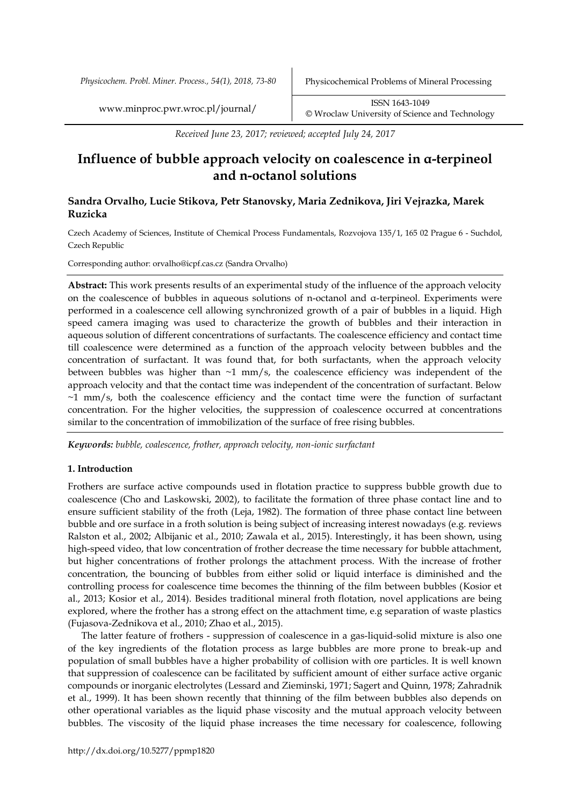*Physicochem. Probl. Miner. Process., 54(1), 2018, 73-80* Physicochemical Problems of Mineral Processing

[www.minproc.pwr.wroc.pl/journal/](http://www.minproc.pwr.wroc.pl/journal/) **ISSN 1643-1049** [©](http://www.minproc.pwr.wroc.pl/journal/) Wroclaw University of Science and Technology

*Received June 23, 2017; reviewed; accepted July 24, 2017*

# **Influence of bubble approach velocity on coalescence in α-terpineol and n-octanol solutions**

# **Sandra Orvalho, Lucie Stikova, Petr Stanovsky, Maria Zednikova, Jiri Vejrazka, Marek Ruzicka**

Czech Academy of Sciences, Institute of Chemical Process Fundamentals, Rozvojova 135/1, 165 02 Prague 6 - Suchdol, Czech Republic

Corresponding author: orvalho@icpf.cas.cz (Sandra Orvalho)

**Abstract:** This work presents results of an experimental study of the influence of the approach velocity on the coalescence of bubbles in aqueous solutions of n-octanol and α-terpineol. Experiments were performed in a coalescence cell allowing synchronized growth of a pair of bubbles in a liquid. High speed camera imaging was used to characterize the growth of bubbles and their interaction in aqueous solution of different concentrations of surfactants. The coalescence efficiency and contact time till coalescence were determined as a function of the approach velocity between bubbles and the concentration of surfactant. It was found that, for both surfactants, when the approach velocity between bubbles was higher than  $\sim$ 1 mm/s, the coalescence efficiency was independent of the approach velocity and that the contact time was independent of the concentration of surfactant. Below  $\sim$ 1 mm/s, both the coalescence efficiency and the contact time were the function of surfactant concentration. For the higher velocities, the suppression of coalescence occurred at concentrations similar to the concentration of immobilization of the surface of free rising bubbles.

*Keywords: bubble, coalescence, frother, approach velocity, non-ionic surfactant*

### **1. Introduction**

Frothers are surface active compounds used in flotation practice to suppress bubble growth due to coalescence (Cho and Laskowski, 2002), to facilitate the formation of three phase contact line and to ensure sufficient stability of the froth (Leja, 1982). The formation of three phase contact line between bubble and ore surface in a froth solution is being subject of increasing interest nowadays (e.g. reviews Ralston et al., 2002; Albijanic et al., 2010; Zawala et al., 2015). Interestingly, it has been shown, using high-speed video, that low concentration of frother decrease the time necessary for bubble attachment, but higher concentrations of frother prolongs the attachment process. With the increase of frother concentration, the bouncing of bubbles from either solid or liquid interface is diminished and the controlling process for coalescence time becomes the thinning of the film between bubbles (Kosior et al., 2013; Kosior et al., 2014). Besides traditional mineral froth flotation, novel applications are being explored, where the frother has a strong effect on the attachment time, e.g separation of waste plastics (Fujasova-Zednikova et al., 2010; Zhao et al., 2015).

The latter feature of frothers - suppression of coalescence in a gas-liquid-solid mixture is also one of the key ingredients of the flotation process as large bubbles are more prone to break-up and population of small bubbles have a higher probability of collision with ore particles. It is well known that suppression of coalescence can be facilitated by sufficient amount of either surface active organic compounds or inorganic electrolytes (Lessard and Zieminski, 1971; Sagert and Quinn, 1978; Zahradnik et al., 1999). It has been shown recently that thinning of the film between bubbles also depends on other operational variables as the liquid phase viscosity and the mutual approach velocity between bubbles. The viscosity of the liquid phase increases the time necessary for coalescence, following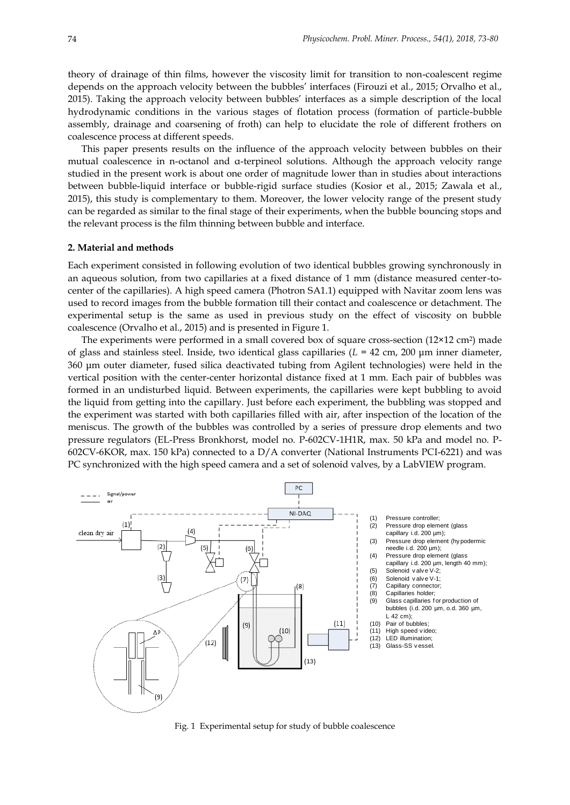theory of drainage of thin films, however the viscosity limit for transition to non-coalescent regime depends on the approach velocity between the bubbles' interfaces (Firouzi et al., 2015; Orvalho et al., 2015). Taking the approach velocity between bubbles' interfaces as a simple description of the local hydrodynamic conditions in the various stages of flotation process (formation of particle-bubble assembly, drainage and coarsening of froth) can help to elucidate the role of different frothers on coalescence process at different speeds.

This paper presents results on the influence of the approach velocity between bubbles on their mutual coalescence in n-octanol and α-terpineol solutions. Although the approach velocity range studied in the present work is about one order of magnitude lower than in studies about interactions between bubble-liquid interface or bubble-rigid surface studies (Kosior et al., 2015; Zawala et al., 2015), this study is complementary to them. Moreover, the lower velocity range of the present study can be regarded as similar to the final stage of their experiments, when the bubble bouncing stops and the relevant process is the film thinning between bubble and interface.

## **2. Material and methods**

Each experiment consisted in following evolution of two identical bubbles growing synchronously in an aqueous solution, from two capillaries at a fixed distance of 1 mm (distance measured center-tocenter of the capillaries). A high speed camera (Photron SA1.1) equipped with Navitar zoom lens was used to record images from the bubble formation till their contact and coalescence or detachment. The experimental setup is the same as used in previous study on the effect of viscosity on bubble coalescence (Orvalho et al., 2015) and is presented in Figure 1.

The experiments were performed in a small covered box of square cross-section  $(12\times12 \text{ cm}^2)$  made of glass and stainless steel. Inside, two identical glass capillaries (*L* = 42 cm, 200 μm inner diameter, 360 μm outer diameter, fused silica deactivated tubing from Agilent technologies) were held in the vertical position with the center-center horizontal distance fixed at 1 mm. Each pair of bubbles was formed in an undisturbed liquid. Between experiments, the capillaries were kept bubbling to avoid the liquid from getting into the capillary. Just before each experiment, the bubbling was stopped and the experiment was started with both capillaries filled with air, after inspection of the location of the meniscus. The growth of the bubbles was controlled by a series of pressure drop elements and two pressure regulators (EL-Press Bronkhorst, model no. P-602CV-1H1R, max. 50 kPa and model no. P-602CV-6KOR, max. 150 kPa) connected to a D/A converter (National Instruments PCI-6221) and was PC synchronized with the high speed camera and a set of solenoid valves, by a LabVIEW program.



Fig. 1 Experimental setup for study of bubble coalescence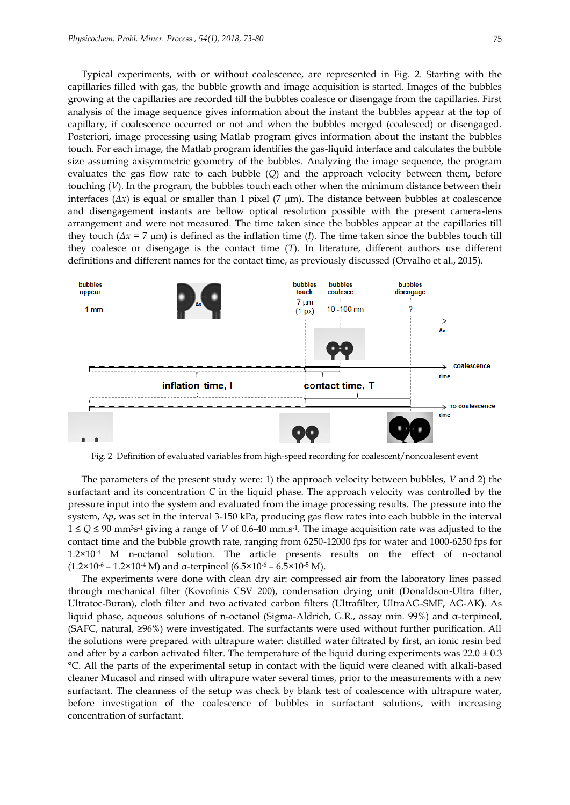Typical experiments, with or without coalescence, are represented in Fig. 2. Starting with the capillaries filled with gas, the bubble growth and image acquisition is started. Images of the bubbles growing at the capillaries are recorded till the bubbles coalesce or disengage from the capillaries. First analysis of the image sequence gives information about the instant the bubbles appear at the top of capillary, if coalescence occurred or not and when the bubbles merged (coalesced) or disengaged. Posteriori, image processing using Matlab program gives information about the instant the bubbles touch. For each image, the Matlab program identifies the gas-liquid interface and calculates the bubble size assuming axisymmetric geometry of the bubbles. Analyzing the image sequence, the program evaluates the gas flow rate to each bubble (*Q*) and the approach velocity between them, before touching (*V*). In the program, the bubbles touch each other when the minimum distance between their interfaces  $(Δx)$  is equal or smaller than 1 pixel  $(7 \mu m)$ . The distance between bubbles at coalescence and disengagement instants are bellow optical resolution possible with the present camera-lens arrangement and were not measured. The time taken since the bubbles appear at the capillaries till they touch ( $\Delta x = 7 \text{ }\mu\text{m}$ ) is defined as the inflation time (*I*). The time taken since the bubbles touch till they coalesce or disengage is the contact time (*T*). In literature, different authors use different definitions and different names for the contact time, as previously discussed (Orvalho et al., 2015).



Fig. 2 Definition of evaluated variables from high-speed recording for coalescent/noncoalesent event

The parameters of the present study were: 1) the approach velocity between bubbles, *V* and 2) the surfactant and its concentration *C* in the liquid phase. The approach velocity was controlled by the pressure input into the system and evaluated from the image processing results. The pressure into the system, Δ*p*, was set in the interval 3-150 kPa, producing gas flow rates into each bubble in the interval 1 ≤ *Q* ≤ 90 mm3s -1 giving a range of *V* of 0.6-40 mm.s-1 . The image acquisition rate was adjusted to the contact time and the bubble growth rate, ranging from 6250-12000 fps for water and 1000-6250 fps for 1.2×10-4 M n-octanol solution. The article presents results on the effect of n-octanol ( $1.2 \times 10^{-6}$  –  $1.2 \times 10^{-4}$  M) and α-terpineol ( $6.5 \times 10^{-6}$  –  $6.5 \times 10^{-5}$  M).

The experiments were done with clean dry air: compressed air from the laboratory lines passed through mechanical filter (Kovofinis CSV 200), condensation drying unit (Donaldson-Ultra filter, Ultratoc-Buran), cloth filter and two activated carbon filters (Ultrafilter, UltraAG-SMF, AG-AK). As liquid phase, aqueous solutions of n-octanol (Sigma-Aldrich, G.R., assay min. 99%) and α-terpineol, (SAFC, natural, ≥96%) were investigated. The surfactants were used without further purification. All the solutions were prepared with ultrapure water: distilled water filtrated by first, an ionic resin bed and after by a carbon activated filter. The temperature of the liquid during experiments was  $22.0 \pm 0.3$ °C. All the parts of the experimental setup in contact with the liquid were cleaned with alkali-based cleaner Mucasol and rinsed with ultrapure water several times, prior to the measurements with a new surfactant. The cleanness of the setup was check by blank test of coalescence with ultrapure water, before investigation of the coalescence of bubbles in surfactant solutions, with increasing concentration of surfactant.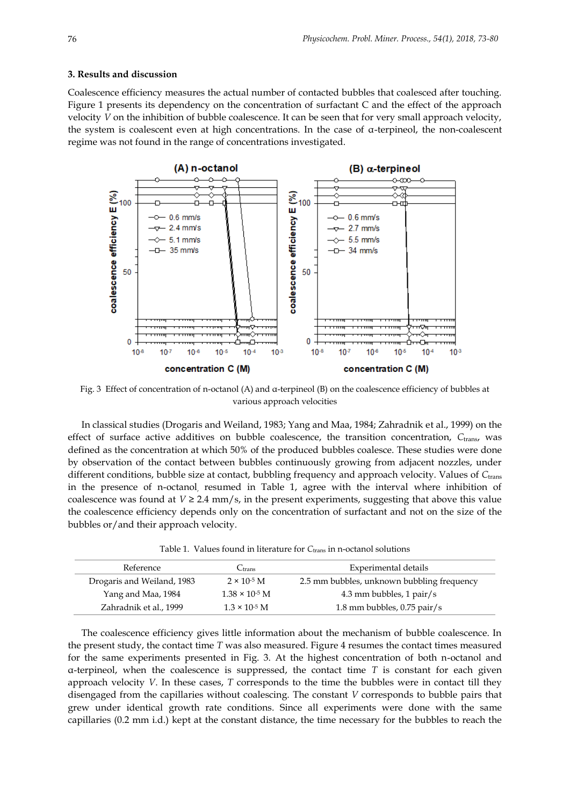#### **3. Results and discussion**

Coalescence efficiency measures the actual number of contacted bubbles that coalesced after touching. Figure 1 presents its dependency on the concentration of surfactant C and the effect of the approach velocity *V* on the inhibition of bubble coalescence. It can be seen that for very small approach velocity, the system is coalescent even at high concentrations. In the case of α-terpineol, the non-coalescent regime was not found in the range of concentrations investigated.



Fig. 3 Effect of concentration of n-octanol (A) and α-terpineol (B) on the coalescence efficiency of bubbles at various approach velocities

In classical studies (Drogaris and Weiland, 1983; Yang and Maa, 1984; Zahradnik et al., 1999) on the effect of surface active additives on bubble coalescence, the transition concentration, *C*trans, was defined as the concentration at which 50% of the produced bubbles coalesce. These studies were done by observation of the contact between bubbles continuously growing from adjacent nozzles, under different conditions, bubble size at contact, bubbling frequency and approach velocity. Values of Ctrans in the presence of n-octanol, resumed in Table 1, agree with the interval where inhibition of coalescence was found at  $V \ge 2.4$  mm/s, in the present experiments, suggesting that above this value the coalescence efficiency depends only on the concentration of surfactant and not on the size of the bubbles or/and their approach velocity.

| Reference                  | Ctrans                  | Experimental details                       |  |
|----------------------------|-------------------------|--------------------------------------------|--|
| Drogaris and Weiland, 1983 | $2 \times 10^{-5}$ M    | 2.5 mm bubbles, unknown bubbling frequency |  |
| Yang and Maa, 1984         | $1.38 \times 10^{-5}$ M | 4.3 mm bubbles, 1 pair/s                   |  |
| Zahradnik et al., 1999     | $1.3 \times 10^{-5}$ M  | 1.8 mm bubbles, $0.75$ pair/s              |  |

The coalescence efficiency gives little information about the mechanism of bubble coalescence. In the present study, the contact time *T* was also measured. Figure 4 resumes the contact times measured for the same experiments presented in Fig. 3. At the highest concentration of both n-octanol and α-terpineol, when the coalescence is suppressed, the contact time *T* is constant for each given approach velocity *V*. In these cases, *T* corresponds to the time the bubbles were in contact till they disengaged from the capillaries without coalescing. The constant *V* corresponds to bubble pairs that grew under identical growth rate conditions. Since all experiments were done with the same capillaries (0.2 mm i.d.) kept at the constant distance, the time necessary for the bubbles to reach the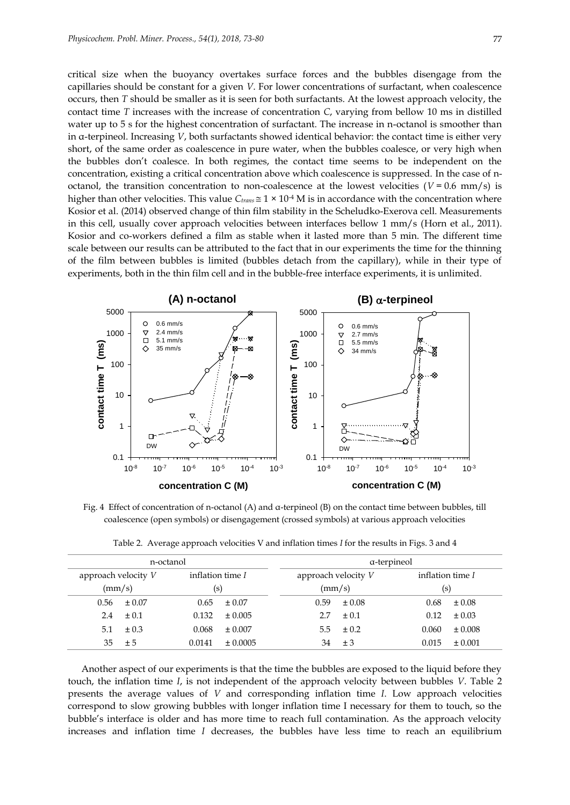critical size when the buoyancy overtakes surface forces and the bubbles disengage from the capillaries should be constant for a given *V*. For lower concentrations of surfactant, when coalescence occurs, then *T* should be smaller as it is seen for both surfactants. At the lowest approach velocity, the contact time *T* increases with the increase of concentration *C*, varying from bellow 10 ms in distilled water up to 5 s for the highest concentration of surfactant. The increase in n-octanol is smoother than in α-terpineol. Increasing *V*, both surfactants showed identical behavior: the contact time is either very short, of the same order as coalescence in pure water, when the bubbles coalesce, or very high when the bubbles don't coalesce. In both regimes, the contact time seems to be independent on the concentration, existing a critical concentration above which coalescence is suppressed. In the case of noctanol, the transition concentration to non-coalescence at the lowest velocities  $(V = 0.6 \text{ mm/s})$  is higher than other velocities. This value  $C_{trans} \cong 1 \times 10^{-4}$  M is in accordance with the concentration where Kosior et al. (2014) observed change of thin film stability in the Scheludko-Exerova cell. Measurements in this cell, usually cover approach velocities between interfaces bellow 1 mm/s (Horn et al., 2011). Kosior and co-workers defined a film as stable when it lasted more than 5 min. The different time scale between our results can be attributed to the fact that in our experiments the time for the thinning of the film between bubbles is limited (bubbles detach from the capillary), while in their type of experiments, both in the thin film cell and in the bubble-free interface experiments, it is unlimited.



Fig. 4 Effect of concentration of n-octanol (A) and α-terpineol (B) on the contact time between bubbles, till coalescence (open symbols) or disengagement (crossed symbols) at various approach velocities

| n-octanol             |                      | a-terpineol         |                    |  |
|-----------------------|----------------------|---------------------|--------------------|--|
| approach velocity $V$ | inflation time $I$   | approach velocity V | inflation time I   |  |
| (mm/s)                | (S)                  | $\rm(mm/s)$         | (s)                |  |
| $\pm 0.07$<br>0.56    | $0.65 \pm 0.07$      | 0.59<br>$\pm 0.08$  | $\pm 0.08$<br>0.68 |  |
| $\pm 0.1$<br>2.4      | 0.132<br>$\pm 0.005$ | $\pm 0.1$           | $\pm 0.03$<br>0.12 |  |

5.1  $\pm 0.3$  0.068  $\pm 0.007$  5.5  $\pm 0.2$  0.060  $\pm 0.008$  $35 \pm 5$  0.0141  $\pm 0.0005$   $34 \pm 3$  0.015  $\pm 0.001$ 

Table 2. Average approach velocities V and inflation times *I* for the results in Figs. 3 and 4

Another aspect of our experiments is that the time the bubbles are exposed to the liquid before they touch, the inflation time *I*, is not independent of the approach velocity between bubbles *V*. Table 2 presents the average values of *V* and corresponding inflation time *I*. Low approach velocities correspond to slow growing bubbles with longer inflation time I necessary for them to touch, so the bubble's interface is older and has more time to reach full contamination. As the approach velocity increases and inflation time *I* decreases, the bubbles have less time to reach an equilibrium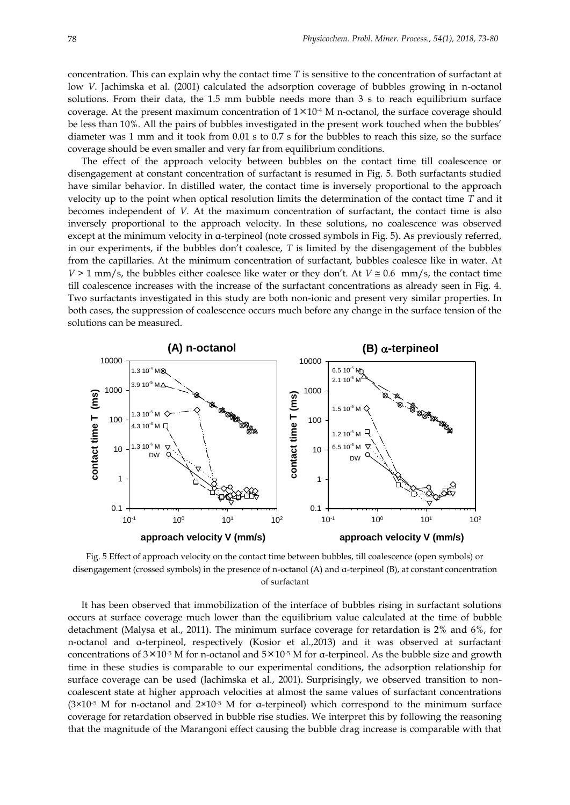concentration. This can explain why the contact time *T* is sensitive to the concentration of surfactant at low *V*. Jachimska et al. (2001) calculated the adsorption coverage of bubbles growing in n-octanol solutions. From their data, the 1.5 mm bubble needs more than 3 s to reach equilibrium surface coverage. At the present maximum concentration of  $1 \times 10^{-4}$  M n-octanol, the surface coverage should be less than 10%. All the pairs of bubbles investigated in the present work touched when the bubbles' diameter was 1 mm and it took from 0.01 s to 0.7 s for the bubbles to reach this size, so the surface coverage should be even smaller and very far from equilibrium conditions.

The effect of the approach velocity between bubbles on the contact time till coalescence or disengagement at constant concentration of surfactant is resumed in Fig. 5. Both surfactants studied have similar behavior. In distilled water, the contact time is inversely proportional to the approach velocity up to the point when optical resolution limits the determination of the contact time *T* and it becomes independent of *V*. At the maximum concentration of surfactant, the contact time is also inversely proportional to the approach velocity. In these solutions, no coalescence was observed except at the minimum velocity in α-terpineol (note crossed symbols in Fig. 5). As previously referred, in our experiments, if the bubbles don't coalesce, *T* is limited by the disengagement of the bubbles from the capillaries. At the minimum concentration of surfactant, bubbles coalesce like in water. At *V* > 1 mm/s, the bubbles either coalesce like water or they don't. At *V*  $\approx$  0.6 mm/s, the contact time till coalescence increases with the increase of the surfactant concentrations as already seen in Fig. 4. Two surfactants investigated in this study are both non-ionic and present very similar properties. In both cases, the suppression of coalescence occurs much before any change in the surface tension of the solutions can be measured.



Fig. 5 Effect of approach velocity on the contact time between bubbles, till coalescence (open symbols) or disengagement (crossed symbols) in the presence of n-octanol (A) and α-terpineol (B), at constant concentration of surfactant

It has been observed that immobilization of the interface of bubbles rising in surfactant solutions occurs at surface coverage much lower than the equilibrium value calculated at the time of bubble detachment (Malysa et al., 2011). The minimum surface coverage for retardation is 2% and 6%, for n-octanol and α-terpineol, respectively (Kosior et al.,2013) and it was observed at surfactant concentrations of  $3\times10^{-5}$  M for n-octanol and  $5\times10^{-5}$  M for a-terpineol. As the bubble size and growth time in these studies is comparable to our experimental conditions, the adsorption relationship for surface coverage can be used (Jachimska et al., 2001). Surprisingly, we observed transition to noncoalescent state at higher approach velocities at almost the same values of surfactant concentrations (3×10-5 M for n-octanol and 2×10-5 M for α-terpineol) which correspond to the minimum surface coverage for retardation observed in bubble rise studies. We interpret this by following the reasoning that the magnitude of the Marangoni effect causing the bubble drag increase is comparable with that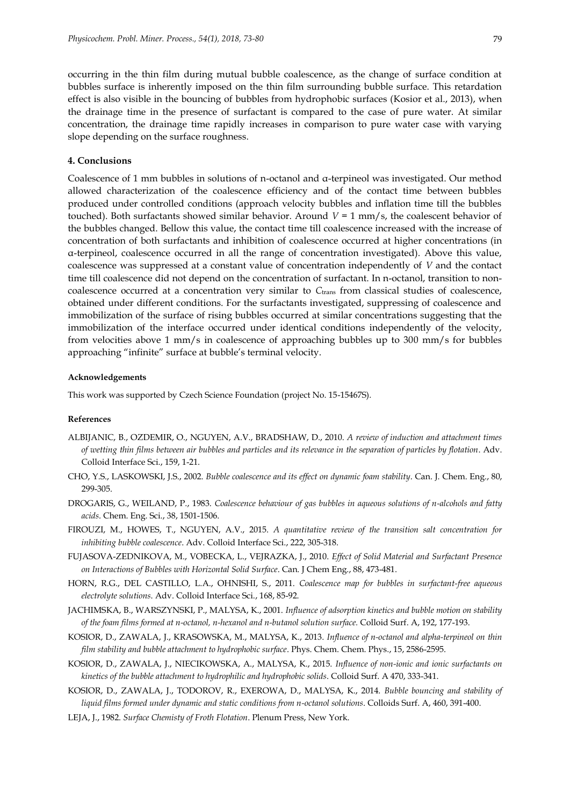occurring in the thin film during mutual bubble coalescence, as the change of surface condition at bubbles surface is inherently imposed on the thin film surrounding bubble surface. This retardation effect is also visible in the bouncing of bubbles from hydrophobic surfaces (Kosior et al., 2013), when the drainage time in the presence of surfactant is compared to the case of pure water. At similar concentration, the drainage time rapidly increases in comparison to pure water case with varying slope depending on the surface roughness.

# **4. Conclusions**

Coalescence of 1 mm bubbles in solutions of n-octanol and α-terpineol was investigated. Our method allowed characterization of the coalescence efficiency and of the contact time between bubbles produced under controlled conditions (approach velocity bubbles and inflation time till the bubbles touched). Both surfactants showed similar behavior. Around  $V = 1$  mm/s, the coalescent behavior of the bubbles changed. Bellow this value, the contact time till coalescence increased with the increase of concentration of both surfactants and inhibition of coalescence occurred at higher concentrations (in α-terpineol, coalescence occurred in all the range of concentration investigated). Above this value, coalescence was suppressed at a constant value of concentration independently of *V* and the contact time till coalescence did not depend on the concentration of surfactant. In n-octanol, transition to noncoalescence occurred at a concentration very similar to *C*trans from classical studies of coalescence, obtained under different conditions. For the surfactants investigated, suppressing of coalescence and immobilization of the surface of rising bubbles occurred at similar concentrations suggesting that the immobilization of the interface occurred under identical conditions independently of the velocity, from velocities above 1 mm/s in coalescence of approaching bubbles up to 300 mm/s for bubbles approaching "infinite" surface at bubble's terminal velocity.

#### **Acknowledgements**

This work was supported by Czech Science Foundation (project No. 15-15467S).

# **References**

- ALBIJANIC, B., OZDEMIR, O., NGUYEN, A.V., BRADSHAW, D., 2010. *A review of induction and attachment times of wetting thin films between air bubbles and particles and its relevance in the separation of particles by flotation*. Adv. Colloid Interface Sci., 159, 1-21.
- CHO, Y.S., LASKOWSKI, J.S., 2002. *Bubble coalescence and its effect on dynamic foam stability*. Can. J. Chem. Eng., 80, 299-305.
- DROGARIS, G., WEILAND, P., 1983. *Coalescence behaviour of gas bubbles in aqueous solutions of n-alcohols and fatty acids*. Chem. Eng. Sci., 38, 1501-1506.
- FIROUZI, M., HOWES, T., NGUYEN, A.V., 2015. *A quantitative review of the transition salt concentration for inhibiting bubble coalescence*. Adv. Colloid Interface Sci., 222, 305-318.
- FUJASOVA-ZEDNIKOVA, M., VOBECKA, L., VEJRAZKA, J., 2010. *Effect of Solid Material and Surfactant Presence on Interactions of Bubbles with Horizontal Solid Surface*. Can. J Chem Eng., 88, 473-481.
- HORN, R.G., DEL CASTILLO, L.A., OHNISHI, S., 2011. *Coalescence map for bubbles in surfactant-free aqueous electrolyte solutions*. Adv. Colloid Interface Sci., 168, 85-92.
- JACHIMSKA, B., WARSZYNSKI, P., MALYSA, K., 2001. *Influence of adsorption kinetics and bubble motion on stability of the foam films formed at n-octanol, n-hexanol and n-butanol solution surface.* Colloid Surf. A, 192, 177-193.
- KOSIOR, D., ZAWALA, J., KRASOWSKA, M., MALYSA, K., 2013. *Influence of n-octanol and alpha-terpineol on thin film stability and bubble attachment to hydrophobic surface*. Phys. Chem. Chem. Phys., 15, 2586-2595.
- KOSIOR, D., ZAWALA, J., NIECIKOWSKA, A., MALYSA, K., 2015. *Influence of non-ionic and ionic surfactants on kinetics of the bubble attachment to hydrophilic and hydrophobic solids*. Colloid Surf. A 470, 333-341.
- KOSIOR, D., ZAWALA, J., TODOROV, R., EXEROWA, D., MALYSA, K., 2014. *Bubble bouncing and stability of liquid films formed under dynamic and static conditions from n-octanol solutions*. Colloids Surf. A, 460, 391-400.
- LEJA, J., 1982. *Surface Chemisty of Froth Flotation*. Plenum Press, New York.